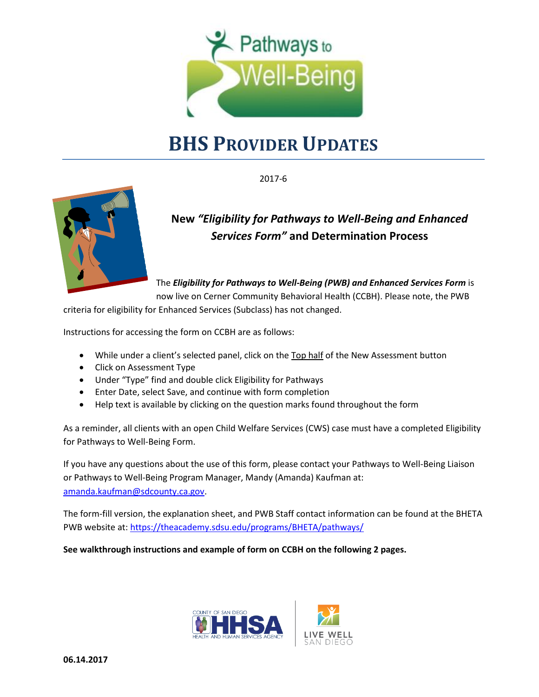

# **BHS PROVIDER UPDATES**

2017-6



## **New** *"Eligibility for Pathways to Well-Being and Enhanced Services Form"* **and Determination Process**

The *Eligibility for Pathways to Well-Being (PWB) and Enhanced Services Form* is now live on Cerner Community Behavioral Health (CCBH). Please note, the PWB

criteria for eligibility for Enhanced Services (Subclass) has not changed.

Instructions for accessing the form on CCBH are as follows:

- While under a client's selected panel, click on the Top half of the New Assessment button
- Click on Assessment Type
- Under "Type" find and double click Eligibility for Pathways
- Enter Date, select Save, and continue with form completion
- Help text is available by clicking on the question marks found throughout the form

As a reminder, all clients with an open Child Welfare Services (CWS) case must have a completed Eligibility for Pathways to Well-Being Form.

If you have any questions about the use of this form, please contact your Pathways to Well-Being Liaison or Pathways to Well-Being Program Manager, Mandy (Amanda) Kaufman at: [amanda.kaufman@sdcounty.ca.gov.](mailto:amanda.kaufman@sdcounty.ca.gov)

The form-fill version, the explanation sheet, and PWB Staff contact information can be found at the BHETA PWB website at:<https://theacademy.sdsu.edu/programs/BHETA/pathways/>

**See walkthrough instructions and example of form on CCBH on the following 2 pages.**

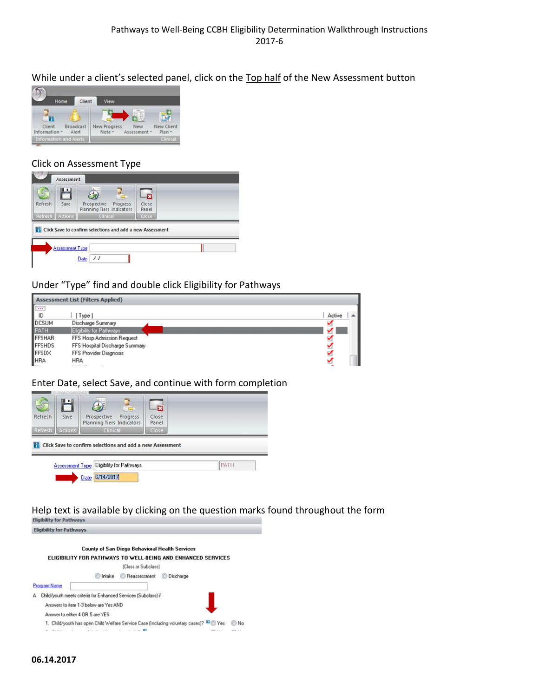While under a client's selected panel, click on the Top half of the New Assessment button



#### Click on Assessment Type

| Refresh | 出<br>Save | 55<br>Prospective<br>Progress<br>Planning Tiers Indicators | -13<br>Close<br>Panel |  |
|---------|-----------|------------------------------------------------------------|-----------------------|--|
| Refresh | Actions   | Clinical                                                   | Close                 |  |
|         |           | Click Save to confirm selections and add a new Assessment  |                       |  |

#### Under "Type" find and double click Eligibility for Pathways

|              | <b>Assessment List (Filters Applied)</b> |        |
|--------------|------------------------------------------|--------|
| Fip          |                                          |        |
|              | Type ]                                   | Active |
| <b>DCSUM</b> | Discharge Summary                        |        |
| PATH         | Eligibility for Pathways                 |        |
| FFSHAR       | FFS Hosp Admission Request               |        |
| FFSHDS       | FFS Hospital Discharge Summary           |        |
| FFSDX        | FFS Provider Diagnosis                   |        |
| HRA          | <b>HRA</b>                               |        |
|              |                                          |        |

#### Enter Date, select Save, and continue with form completion



Help text is available by clicking on the question marks found throughout the form<br>Eligibility for Pathways